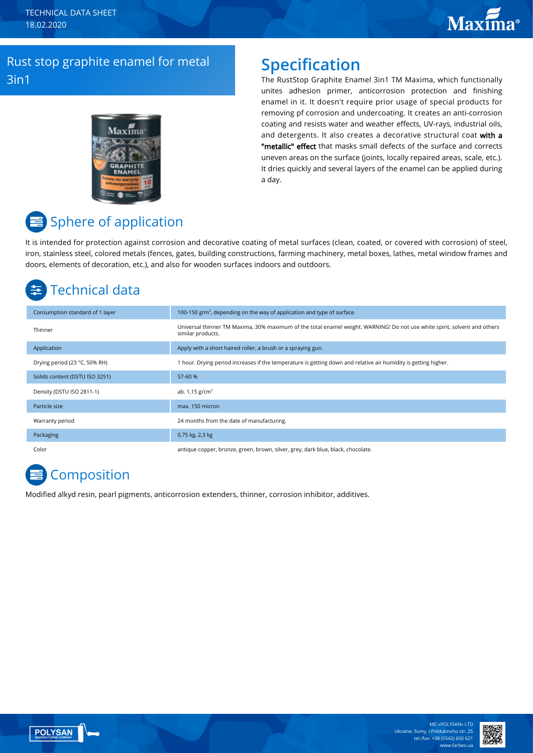# Rust stop graphite enamel for metal 3in1

# $Max<sub>Ima</sub>$

# **Specification**

The RustStop Graphite Enamel 3in1 TM Maxima, which functionally unites adhesion primer, anticorrosion protection and finishing enamel in it. It doesn't require prior usage of special products for removing pf corrosion and undercoating. It creates an anti-corrosion coating and resists water and weather effects, UV-rays, industrial oils, and detergents. It also creates a decorative structural coat with a "metallic" effect that masks small defects of the surface and corrects uneven areas on the surface (joints, locally repaired areas, scale, etc.). It dries quickly and several layers of the enamel can be applied during a day.

# Sphere of application

It is intended for protection against corrosion and decorative coating of metal surfaces (clean, coated, or covered with corrosion) of steel, iron, stainless steel, colored metals (fences, gates, building constructions, farming machinery, metal boxes, lathes, metal window frames and doors, elements of decoration, etc.), and also for wooden surfaces indoors and outdoors.

# Technical data

| Consumption standard of 1 layer | 100-150 $g/m2$ , depending on the way of application and type of surface.                                                                      |
|---------------------------------|------------------------------------------------------------------------------------------------------------------------------------------------|
| Thinner                         | Universal thinner TM Maxima, 30% maximum of the total enamel weight. WARNING! Do not use white spirit, solvent and others<br>similar products. |
| Application                     | Apply with a short haired roller, a brush or a spraying gun.                                                                                   |
| Drying period (23 °C, 50% RH)   | 1 hour. Drying period increases if the temperature is getting down and relative air humidity is getting higher.                                |
| Solids content (DSTU ISO 3251)  | 57-60 %                                                                                                                                        |
| Density (DSTU ISO 2811-1)       | ab. $1.15$ g/cm <sup>3</sup>                                                                                                                   |
| Particle size                   | max. 150 micron                                                                                                                                |
| Warranty period                 | 24 months from the date of manufacturing.                                                                                                      |
| Packaging                       | 0,75 kg, 2,3 kg                                                                                                                                |
| Color                           | antique copper, bronze, green, brown, silver, grey, dark blue, black, chocolate.                                                               |

# **Composition**

Modified alkyd resin, pearl pigments, anticorrosion extenders, thinner, corrosion inhibitor, additives.